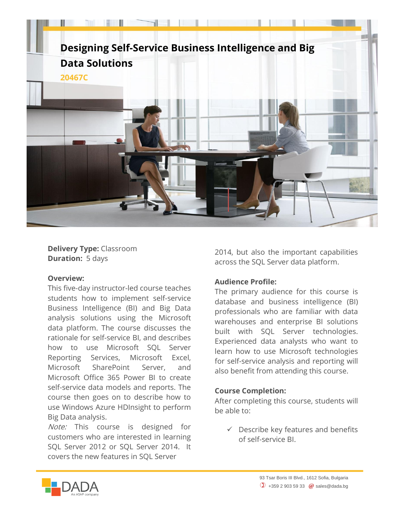

**Delivery Type:** Classroom **Duration:** 5 days

## **Overview:**

This five-day instructor-led course teaches students how to implement self-service Business Intelligence (BI) and Big Data analysis solutions using the Microsoft data platform. The course discusses the rationale for self-service BI, and describes how to use Microsoft SQL Server Reporting Services, Microsoft Excel, Microsoft SharePoint Server, and Microsoft Office 365 Power BI to create self-service data models and reports. The course then goes on to describe how to use Windows Azure HDInsight to perform Big Data analysis.

Note: This course is designed for customers who are interested in learning SQL Server 2012 or SQL Server 2014. It covers the new features in SQL Server

2014, but also the important capabilities across the SQL Server data platform.

## **Audience Profile:**

The primary audience for this course is database and business intelligence (BI) professionals who are familiar with data warehouses and enterprise BI solutions built with SQL Server technologies. Experienced data analysts who want to learn how to use Microsoft technologies for self-service analysis and reporting will also benefit from attending this course.

## **Course Completion:**

After completing this course, students will be able to:

 $\checkmark$  Describe key features and benefits of self-service BI.